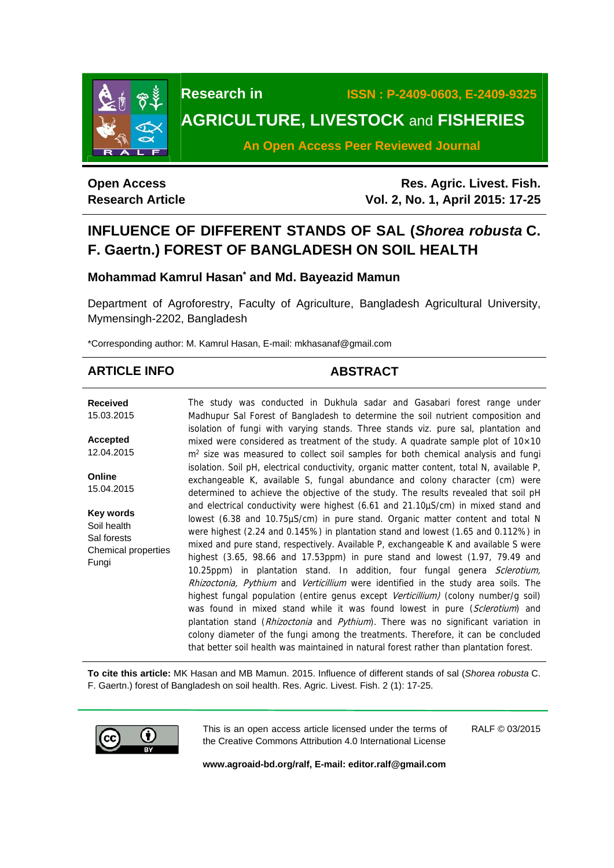

**Research in ISSN : P-2409-0603, E-2409-9325 AGRICULTURE, LIVESTOCK** and **FISHERIES** 

**An Open Access Peer Reviewed Journal**

# **Open Access Research Article**

**Res. Agric. Livest. Fish. Vol. 2, No. 1, April 2015: 17-25**

# **INFLUENCE OF DIFFERENT STANDS OF SAL (***Shorea robusta* **C. F. Gaertn.) FOREST OF BANGLADESH ON SOIL HEALTH**

# **Mohammad Kamrul Hasan\* and Md. Bayeazid Mamun**

Department of Agroforestry, Faculty of Agriculture, Bangladesh Agricultural University, Mymensingh-2202, Bangladesh

\*Corresponding author: M. Kamrul Hasan, E-mail: mkhasanaf@gmail.com

# ARTICLE INFO **ABSTRACT**

**Received**  15.03.2015 **Accepted**  12.04.2015 **Online**  15.04.2015 **Key words** Soil health Sal forests Chemical properties Fungi The study was conducted in Dukhula sadar and Gasabari forest range under Madhupur Sal Forest of Bangladesh to determine the soil nutrient composition and isolation of fungi with varying stands. Three stands viz. pure sal, plantation and mixed were considered as treatment of the study. A quadrate sample plot of  $10\times10$  $m<sup>2</sup>$  size was measured to collect soil samples for both chemical analysis and fungi isolation. Soil pH, electrical conductivity, organic matter content, total N, available P, exchangeable K, available S, fungal abundance and colony character (cm) were determined to achieve the objective of the study. The results revealed that soil pH and electrical conductivity were highest (6.61 and 21.10µS/cm) in mixed stand and lowest (6.38 and 10.75µS/cm) in pure stand. Organic matter content and total N were highest (2.24 and 0.145%) in plantation stand and lowest (1.65 and 0.112%) in mixed and pure stand, respectively. Available P, exchangeable K and available S were highest (3.65, 98.66 and 17.53ppm) in pure stand and lowest (1.97, 79.49 and 10.25ppm) in plantation stand. In addition, four fungal genera Sclerotium, Rhizoctonia, Pythium and Verticillium were identified in the study area soils. The highest fungal population (entire genus except Verticillium) (colony number/g soil) was found in mixed stand while it was found lowest in pure (Sclerotium) and plantation stand (Rhizoctonia and Pythium). There was no significant variation in colony diameter of the fungi among the treatments. Therefore, it can be concluded that better soil health was maintained in natural forest rather than plantation forest.

**To cite this article:** MK Hasan and MB Mamun. 2015. Influence of different stands of sal (*Shorea robusta* C. F. Gaertn.) forest of Bangladesh on soil health. Res. Agric. Livest. Fish. 2 (1): 17-25.



This is an open access article licensed under the terms of the Creative Commons Attribution 4.0 International License

RALF © 03/2015

**www.agroaid-bd.org/ralf, E-mail: editor.ralf@gmail.com**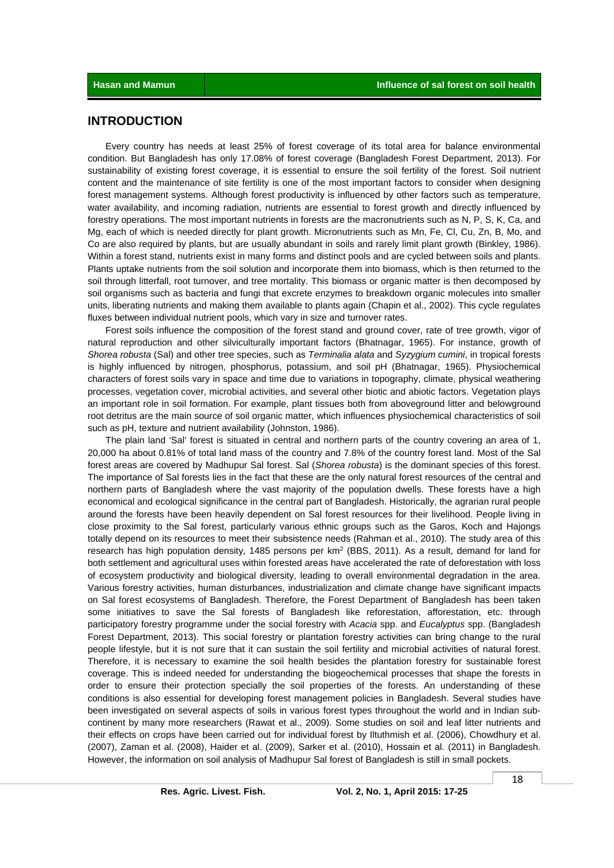# **INTRODUCTION**

 Every country has needs at least 25% of forest coverage of its total area for balance environmental condition. But Bangladesh has only 17.08% of forest coverage (Bangladesh Forest Department, 2013). For sustainability of existing forest coverage, it is essential to ensure the soil fertility of the forest. Soil nutrient content and the maintenance of site fertility is one of the most important factors to consider when designing forest management systems. Although forest productivity is influenced by other factors such as temperature, water availability, and incoming radiation, nutrients are essential to forest growth and directly influenced by forestry operations. The most important nutrients in forests are the macronutrients such as N, P, S, K, Ca, and Mg, each of which is needed directly for plant growth. Micronutrients such as Mn, Fe, Cl, Cu, Zn, B, Mo, and Co are also required by plants, but are usually abundant in soils and rarely limit plant growth (Binkley, 1986). Within a forest stand, nutrients exist in many forms and distinct pools and are cycled between soils and plants. Plants uptake nutrients from the soil solution and incorporate them into biomass, which is then returned to the soil through litterfall, root turnover, and tree mortality. This biomass or organic matter is then decomposed by soil organisms such as bacteria and fungi that excrete enzymes to breakdown organic molecules into smaller units, liberating nutrients and making them available to plants again (Chapin et al., 2002). This cycle regulates fluxes between individual nutrient pools, which vary in size and turnover rates.

 Forest soils influence the composition of the forest stand and ground cover, rate of tree growth, vigor of natural reproduction and other silviculturally important factors (Bhatnagar, 1965). For instance, growth of *Shorea robusta* (Sal) and other tree species, such as *Terminalia alata* and *Syzygium cumini*, in tropical forests is highly influenced by nitrogen, phosphorus, potassium, and soil pH (Bhatnagar, 1965). Physiochemical characters of forest soils vary in space and time due to variations in topography, climate, physical weathering processes, vegetation cover, microbial activities, and several other biotic and abiotic factors. Vegetation plays an important role in soil formation. For example, plant tissues both from aboveground litter and belowground root detritus are the main source of soil organic matter, which influences physiochemical characteristics of soil such as pH, texture and nutrient availability (Johnston, 1986).

 The plain land 'Sal' forest is situated in central and northern parts of the country covering an area of 1, 20,000 ha about 0.81% of total land mass of the country and 7.8% of the country forest land. Most of the Sal forest areas are covered by Madhupur Sal forest. Sal (*Shorea robusta*) is the dominant species of this forest. The importance of Sal forests lies in the fact that these are the only natural forest resources of the central and northern parts of Bangladesh where the vast majority of the population dwells. These forests have a high economical and ecological significance in the central part of Bangladesh. Historically, the agrarian rural people around the forests have been heavily dependent on Sal forest resources for their livelihood. People living in close proximity to the Sal forest, particularly various ethnic groups such as the Garos, Koch and Hajongs totally depend on its resources to meet their subsistence needs (Rahman et al., 2010). The study area of this research has high population density, 1485 persons per km<sup>2</sup> (BBS, 2011). As a result, demand for land for both settlement and agricultural uses within forested areas have accelerated the rate of deforestation with loss of ecosystem productivity and biological diversity, leading to overall environmental degradation in the area. Various forestry activities, human disturbances, industrialization and climate change have significant impacts on Sal forest ecosystems of Bangladesh. Therefore, the Forest Department of Bangladesh has been taken some initiatives to save the Sal forests of Bangladesh like reforestation, afforestation, etc. through participatory forestry programme under the social forestry with *Acacia* spp. and *Eucalyptus* spp. (Bangladesh Forest Department, 2013). This social forestry or plantation forestry activities can bring change to the rural people lifestyle, but it is not sure that it can sustain the soil fertility and microbial activities of natural forest. Therefore, it is necessary to examine the soil health besides the plantation forestry for sustainable forest coverage. This is indeed needed for understanding the biogeochemical processes that shape the forests in order to ensure their protection specially the soil properties of the forests. An understanding of these conditions is also essential for developing forest management policies in Bangladesh. Several studies have been investigated on several aspects of soils in various forest types throughout the world and in Indian subcontinent by many more researchers (Rawat et al., 2009). Some studies on soil and leaf litter nutrients and their effects on crops have been carried out for individual forest by Iltuthmish et al. (2006), Chowdhury et al. (2007), Zaman et al. (2008), Haider et al. (2009), Sarker et al. (2010), Hossain et al. (2011) in Bangladesh. However, the information on soil analysis of Madhupur Sal forest of Bangladesh is still in small pockets.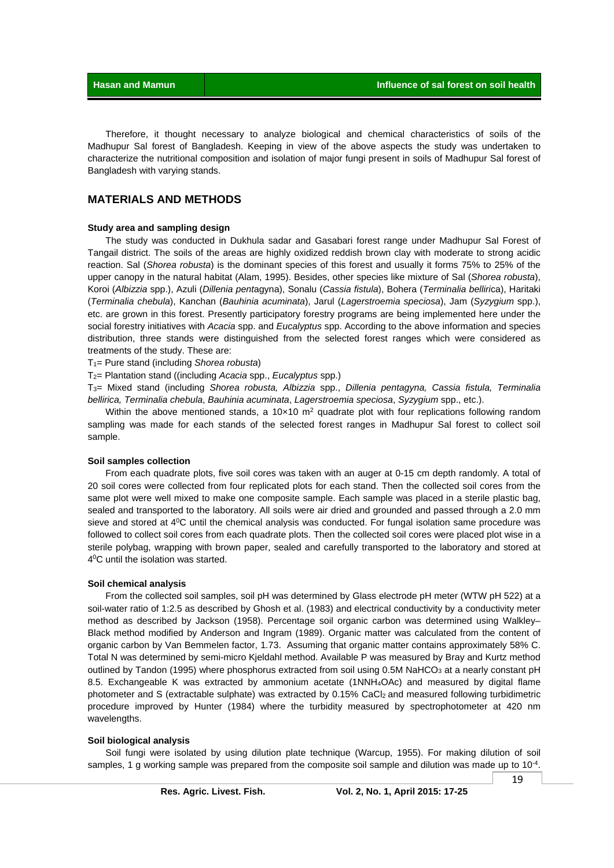Therefore, it thought necessary to analyze biological and chemical characteristics of soils of the Madhupur Sal forest of Bangladesh. Keeping in view of the above aspects the study was undertaken to characterize the nutritional composition and isolation of major fungi present in soils of Madhupur Sal forest of Bangladesh with varying stands.

# **MATERIALS AND METHODS**

#### **Study area and sampling design**

 The study was conducted in Dukhula sadar and Gasabari forest range under Madhupur Sal Forest of Tangail district. The soils of the areas are highly oxidized reddish brown clay with moderate to strong acidic reaction. Sal (*Shorea robusta*) is the dominant species of this forest and usually it forms 75% to 25% of the upper canopy in the natural habitat (Alam, 1995). Besides, other species like mixture of Sal (*Shorea robusta*), Koroi (*Albizzia* spp.), Azuli (*Dillenia pent*agyna), Sonalu (*Cassia fistula*), Bohera (*Terminalia belliri*ca), Haritaki (*Terminalia chebula*), Kanchan (*Bauhinia acuminata*), Jarul (*Lagerstroemia speciosa*), Jam (*Syzygium* spp.), etc. are grown in this forest. Presently participatory forestry programs are being implemented here under the social forestry initiatives with *Acacia* spp. and *Eucalyptus* spp. According to the above information and species distribution, three stands were distinguished from the selected forest ranges which were considered as treatments of the study. These are:

T1= Pure stand (including *Shorea robusta*)

T2= Plantation stand ((including *Acacia* spp., *Eucalyptus* spp.)

T3= Mixed stand (including *Shorea robusta, Albizzia* spp., *Dillenia pentagyna, Cassia fistula, Terminalia bellirica, Terminalia chebula*, *Bauhinia acuminata*, *Lagerstroemia speciosa*, *Syzygium* spp., etc.).

Within the above mentioned stands, a 10 $\times$ 10 m<sup>2</sup> quadrate plot with four replications following random sampling was made for each stands of the selected forest ranges in Madhupur Sal forest to collect soil sample.

#### **Soil samples collection**

 From each quadrate plots, five soil cores was taken with an auger at 0-15 cm depth randomly. A total of 20 soil cores were collected from four replicated plots for each stand. Then the collected soil cores from the same plot were well mixed to make one composite sample. Each sample was placed in a sterile plastic bag, sealed and transported to the laboratory. All soils were air dried and grounded and passed through a 2.0 mm sieve and stored at 4<sup>0</sup>C until the chemical analysis was conducted. For fungal isolation same procedure was followed to collect soil cores from each quadrate plots. Then the collected soil cores were placed plot wise in a sterile polybag, wrapping with brown paper, sealed and carefully transported to the laboratory and stored at 40C until the isolation was started.

#### **Soil chemical analysis**

 From the collected soil samples, soil pH was determined by Glass electrode pH meter (WTW pH 522) at a soil-water ratio of 1:2.5 as described by Ghosh et al. (1983) and electrical conductivity by a conductivity meter method as described by Jackson (1958). Percentage soil organic carbon was determined using Walkley– Black method modified by Anderson and Ingram (1989). Organic matter was calculated from the content of organic carbon by Van Bemmelen factor, 1.73. Assuming that organic matter contains approximately 58% C. Total N was determined by semi-micro Kjeldahl method. Available P was measured by Bray and Kurtz method outlined by Tandon (1995) where phosphorus extracted from soil using 0.5M NaHCO<sub>3</sub> at a nearly constant pH 8.5. Exchangeable K was extracted by ammonium acetate (1NNH4OAc) and measured by digital flame photometer and S (extractable sulphate) was extracted by 0.15% CaCl<sub>2</sub> and measured following turbidimetric procedure improved by Hunter (1984) where the turbidity measured by spectrophotometer at 420 nm wavelengths.

#### **Soil biological analysis**

Soil fungi were isolated by using dilution plate technique (Warcup, 1955). For making dilution of soil samples, 1 g working sample was prepared from the composite soil sample and dilution was made up to 10<sup>-4</sup>.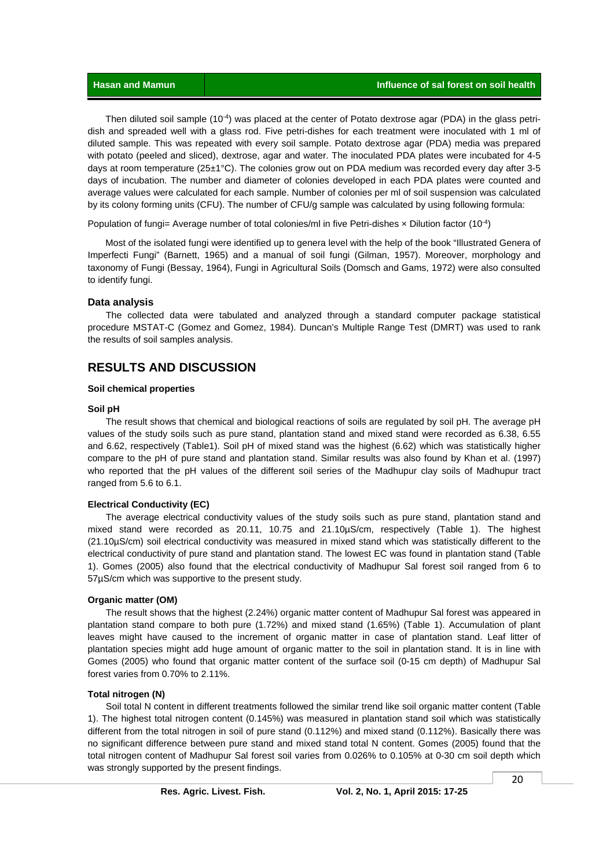Then diluted soil sample (10<sup>-4</sup>) was placed at the center of Potato dextrose agar (PDA) in the glass petridish and spreaded well with a glass rod. Five petri-dishes for each treatment were inoculated with 1 ml of diluted sample. This was repeated with every soil sample. Potato dextrose agar (PDA) media was prepared with potato (peeled and sliced), dextrose, agar and water. The inoculated PDA plates were incubated for 4-5 days at room temperature (25±1°C). The colonies grow out on PDA medium was recorded every day after 3-5 days of incubation. The number and diameter of colonies developed in each PDA plates were counted and average values were calculated for each sample. Number of colonies per ml of soil suspension was calculated by its colony forming units (CFU). The number of CFU/g sample was calculated by using following formula:

Population of fungi= Average number of total colonies/ml in five Petri-dishes  $\times$  Dilution factor (10<sup>-4</sup>)

 Most of the isolated fungi were identified up to genera level with the help of the book "Illustrated Genera of Imperfecti Fungi" (Barnett, 1965) and a manual of soil fungi (Gilman, 1957). Moreover, morphology and taxonomy of Fungi (Bessay, 1964), Fungi in Agricultural Soils (Domsch and Gams, 1972) were also consulted to identify fungi.

#### **Data analysis**

 The collected data were tabulated and analyzed through a standard computer package statistical procedure MSTAT-C (Gomez and Gomez, 1984). Duncan's Multiple Range Test (DMRT) was used to rank the results of soil samples analysis.

# **RESULTS AND DISCUSSION**

## **Soil chemical properties**

#### **Soil pH**

 The result shows that chemical and biological reactions of soils are regulated by soil pH. The average pH values of the study soils such as pure stand, plantation stand and mixed stand were recorded as 6.38, 6.55 and 6.62, respectively (Table1). Soil pH of mixed stand was the highest (6.62) which was statistically higher compare to the pH of pure stand and plantation stand. Similar results was also found by Khan et al. (1997) who reported that the pH values of the different soil series of the Madhupur clay soils of Madhupur tract ranged from 5.6 to 6.1.

### **Electrical Conductivity (EC)**

 The average electrical conductivity values of the study soils such as pure stand, plantation stand and mixed stand were recorded as 20.11, 10.75 and 21.10µS/cm, respectively (Table 1). The highest (21.10µS/cm) soil electrical conductivity was measured in mixed stand which was statistically different to the electrical conductivity of pure stand and plantation stand. The lowest EC was found in plantation stand (Table 1). Gomes (2005) also found that the electrical conductivity of Madhupur Sal forest soil ranged from 6 to 57µS/cm which was supportive to the present study.

#### **Organic matter (OM)**

 The result shows that the highest (2.24%) organic matter content of Madhupur Sal forest was appeared in plantation stand compare to both pure (1.72%) and mixed stand (1.65%) (Table 1). Accumulation of plant leaves might have caused to the increment of organic matter in case of plantation stand. Leaf litter of plantation species might add huge amount of organic matter to the soil in plantation stand. It is in line with Gomes (2005) who found that organic matter content of the surface soil (0-15 cm depth) of Madhupur Sal forest varies from 0.70% to 2.11%.

#### **Total nitrogen (N)**

 Soil total N content in different treatments followed the similar trend like soil organic matter content (Table 1). The highest total nitrogen content (0.145%) was measured in plantation stand soil which was statistically different from the total nitrogen in soil of pure stand (0.112%) and mixed stand (0.112%). Basically there was no significant difference between pure stand and mixed stand total N content. Gomes (2005) found that the total nitrogen content of Madhupur Sal forest soil varies from 0.026% to 0.105% at 0-30 cm soil depth which was strongly supported by the present findings.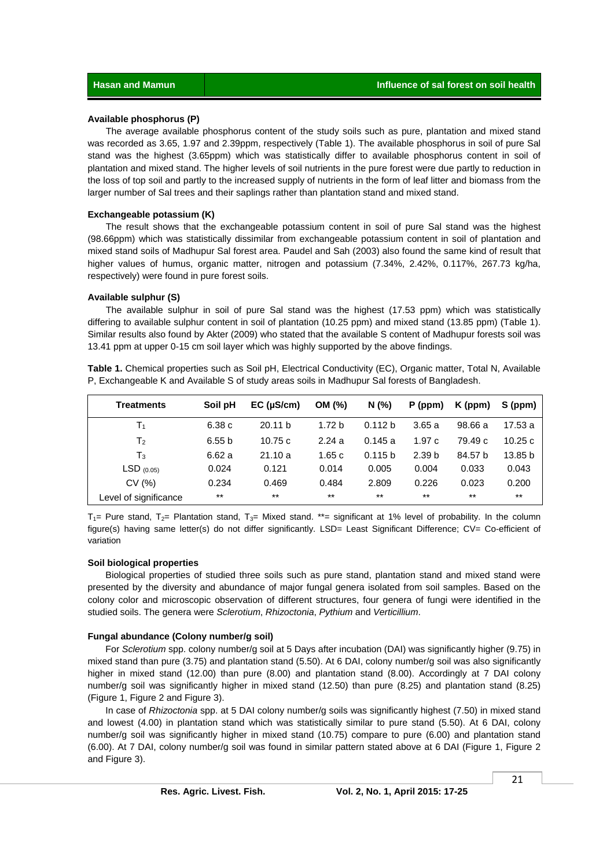## **Available phosphorus (P)**

 The average available phosphorus content of the study soils such as pure, plantation and mixed stand was recorded as 3.65, 1.97 and 2.39ppm, respectively (Table 1). The available phosphorus in soil of pure Sal stand was the highest (3.65ppm) which was statistically differ to available phosphorus content in soil of plantation and mixed stand. The higher levels of soil nutrients in the pure forest were due partly to reduction in the loss of top soil and partly to the increased supply of nutrients in the form of leaf litter and biomass from the larger number of Sal trees and their saplings rather than plantation stand and mixed stand.

#### **Exchangeable potassium (K)**

 The result shows that the exchangeable potassium content in soil of pure Sal stand was the highest (98.66ppm) which was statistically dissimilar from exchangeable potassium content in soil of plantation and mixed stand soils of Madhupur Sal forest area. Paudel and Sah (2003) also found the same kind of result that higher values of humus, organic matter, nitrogen and potassium (7.34%, 2.42%, 0.117%, 267.73 kg/ha, respectively) were found in pure forest soils.

## **Available sulphur (S)**

 The available sulphur in soil of pure Sal stand was the highest (17.53 ppm) which was statistically differing to available sulphur content in soil of plantation (10.25 ppm) and mixed stand (13.85 ppm) (Table 1). Similar results also found by Akter (2009) who stated that the available S content of Madhupur forests soil was 13.41 ppm at upper 0-15 cm soil layer which was highly supported by the above findings.

| Table 1. Chemical properties such as Soil pH, Electrical Conductivity (EC), Organic matter, Total N, Available |  |  |  |
|----------------------------------------------------------------------------------------------------------------|--|--|--|
| P, Exchangeable K and Available S of study areas soils in Madhupur Sal forests of Bangladesh.                  |  |  |  |

| <b>Treatments</b>     | Soil pH | $EC$ ( $\mu$ S/cm) | OM (%)            | N(%)    | $P$ (ppm)         | $K$ (ppm) | S (ppm)            |
|-----------------------|---------|--------------------|-------------------|---------|-------------------|-----------|--------------------|
| T1                    | 6.38c   | 20.11 <sub>b</sub> | 1.72 <sub>b</sub> | 0.112 b | 3.65a             | 98.66a    | 17.53a             |
| T <sub>2</sub>        | 6.55 b  | 10.75c             | 2.24a             | 0.145a  | 1.97c             | 79.49 c   | 10.25c             |
| $T_3$                 | 6.62a   | 21.10a             | 1.65c             | 0.115 b | 2.39 <sub>b</sub> | 84.57 b   | 13.85 <sub>b</sub> |
| $LSD$ (0.05)          | 0.024   | 0.121              | 0.014             | 0.005   | 0.004             | 0.033     | 0.043              |
| CV(%)                 | 0.234   | 0.469              | 0.484             | 2.809   | 0.226             | 0.023     | 0.200              |
| Level of significance | $***$   | $***$              | $***$             | $***$   | $***$             | $***$     | $***$              |

 $T_{1}=$  Pure stand,  $T_{2}=$  Plantation stand,  $T_{3}=$  Mixed stand. \*\*= significant at 1% level of probability. In the column figure(s) having same letter(s) do not differ significantly. LSD= Least Significant Difference; CV= Co-efficient of variation

### **Soil biological properties**

 Biological properties of studied three soils such as pure stand, plantation stand and mixed stand were presented by the diversity and abundance of major fungal genera isolated from soil samples. Based on the colony color and microscopic observation of different structures, four genera of fungi were identified in the studied soils. The genera were *Sclerotium*, *Rhizoctonia*, *Pythium* and *Verticillium*.

## **Fungal abundance (Colony number/g soil)**

 For *Sclerotium* spp. colony number/g soil at 5 Days after incubation (DAI) was significantly higher (9.75) in mixed stand than pure (3.75) and plantation stand (5.50). At 6 DAI, colony number/g soil was also significantly higher in mixed stand (12.00) than pure (8.00) and plantation stand (8.00). Accordingly at 7 DAI colony number/g soil was significantly higher in mixed stand (12.50) than pure (8.25) and plantation stand (8.25) (Figure 1, Figure 2 and Figure 3).

 In case of *Rhizoctonia* spp. at 5 DAI colony number/g soils was significantly highest (7.50) in mixed stand and lowest (4.00) in plantation stand which was statistically similar to pure stand (5.50). At 6 DAI, colony number/g soil was significantly higher in mixed stand (10.75) compare to pure (6.00) and plantation stand (6.00). At 7 DAI, colony number/g soil was found in similar pattern stated above at 6 DAI (Figure 1, Figure 2 and Figure 3).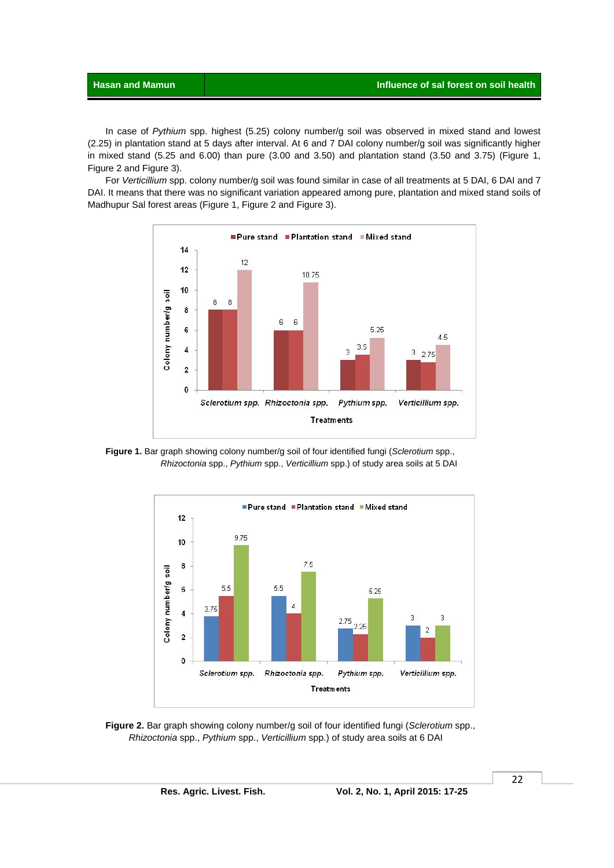In case of *Pythium* spp. highest (5.25) colony number/g soil was observed in mixed stand and lowest (2.25) in plantation stand at 5 days after interval. At 6 and 7 DAI colony number/g soil was significantly higher in mixed stand (5.25 and 6.00) than pure (3.00 and 3.50) and plantation stand (3.50 and 3.75) (Figure 1, Figure 2 and Figure 3).

 For *Verticillium* spp. colony number/g soil was found similar in case of all treatments at 5 DAI, 6 DAI and 7 DAI. It means that there was no significant variation appeared among pure, plantation and mixed stand soils of Madhupur Sal forest areas (Figure 1, Figure 2 and Figure 3).



 **Figure 1.** Bar graph showing colony number/g soil of four identified fungi (*Sclerotium* spp., *Rhizoctonia* spp., *Pythium* spp., *Verticillium* spp.) of study area soils at 5 DAI



 **Figure 2.** Bar graph showing colony number/g soil of four identified fungi (*Sclerotium* spp., *Rhizoctonia* spp., *Pythium* spp., *Verticillium* spp.) of study area soils at 6 DAI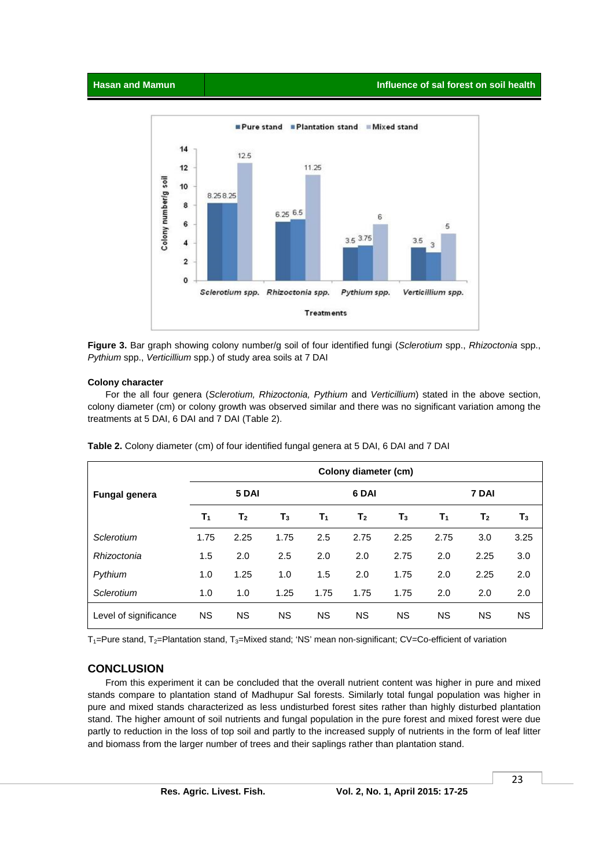

**Figure 3.** Bar graph showing colony number/g soil of four identified fungi (*Sclerotium* spp., *Rhizoctonia* spp., *Pythium* spp., *Verticillium* spp.) of study area soils at 7 DAI

## **Colony character**

 For the all four genera (*Sclerotium, Rhizoctonia, Pythium* and *Verticillium*) stated in the above section, colony diameter (cm) or colony growth was observed similar and there was no significant variation among the treatments at 5 DAI, 6 DAI and 7 DAI (Table 2).

|                       | Colony diameter (cm) |                |                |                |                |           |                |                |           |
|-----------------------|----------------------|----------------|----------------|----------------|----------------|-----------|----------------|----------------|-----------|
| Fungal genera         | 5 DAI                |                |                | 6 DAI          |                |           | 7 DAI          |                |           |
|                       | T <sub>1</sub>       | T <sub>2</sub> | T <sub>3</sub> | T <sub>1</sub> | T <sub>2</sub> | $T_3$     | T <sub>1</sub> | T <sub>2</sub> | $T_3$     |
| Sclerotium            | 1.75                 | 2.25           | 1.75           | 2.5            | 2.75           | 2.25      | 2.75           | 3.0            | 3.25      |
| Rhizoctonia           | 1.5                  | 2.0            | 2.5            | 2.0            | 2.0            | 2.75      | 2.0            | 2.25           | 3.0       |
| Pythium               | 1.0                  | 1.25           | 1.0            | 1.5            | 2.0            | 1.75      | 2.0            | 2.25           | 2.0       |
| Sclerotium            | 1.0                  | 1.0            | 1.25           | 1.75           | 1.75           | 1.75      | 2.0            | 2.0            | 2.0       |
| Level of significance | <b>NS</b>            | <b>NS</b>      | <b>NS</b>      | <b>NS</b>      | <b>NS</b>      | <b>NS</b> | <b>NS</b>      | <b>NS</b>      | <b>NS</b> |

**Table 2.** Colony diameter (cm) of four identified fungal genera at 5 DAI, 6 DAI and 7 DAI

 $T_1$ =Pure stand, T<sub>2</sub>=Plantation stand, T<sub>3</sub>=Mixed stand; 'NS' mean non-significant; CV=Co-efficient of variation

# **CONCLUSION**

 From this experiment it can be concluded that the overall nutrient content was higher in pure and mixed stands compare to plantation stand of Madhupur Sal forests. Similarly total fungal population was higher in pure and mixed stands characterized as less undisturbed forest sites rather than highly disturbed plantation stand. The higher amount of soil nutrients and fungal population in the pure forest and mixed forest were due partly to reduction in the loss of top soil and partly to the increased supply of nutrients in the form of leaf litter and biomass from the larger number of trees and their saplings rather than plantation stand.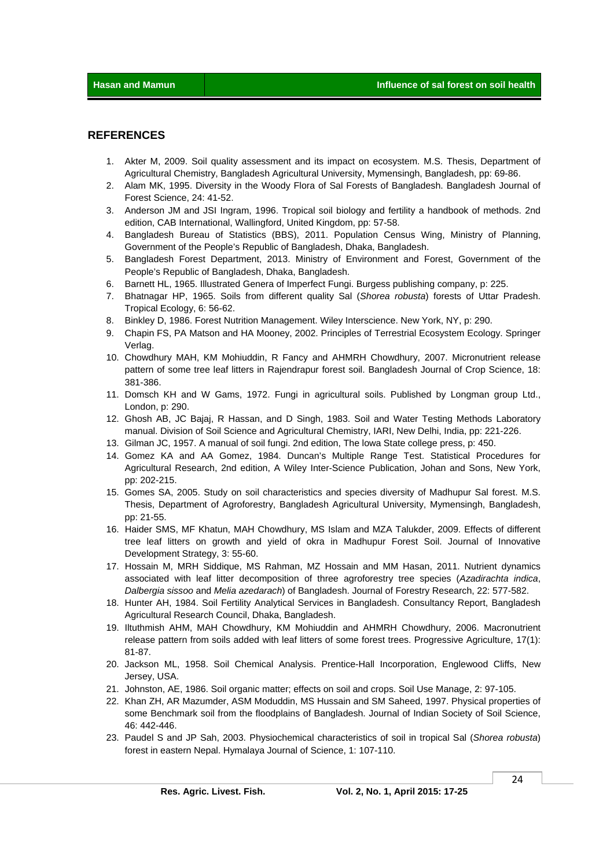# **REFERENCES**

- 1. Akter M, 2009. Soil quality assessment and its impact on ecosystem. M.S. Thesis, Department of Agricultural Chemistry, Bangladesh Agricultural University, Mymensingh, Bangladesh, pp: 69-86.
- 2. Alam MK, 1995. Diversity in the Woody Flora of Sal Forests of Bangladesh. Bangladesh Journal of Forest Science, 24: 41-52.
- 3. Anderson JM and JSI Ingram, 1996. Tropical soil biology and fertility a handbook of methods. 2nd edition, CAB International, Wallingford, United Kingdom, pp: 57-58.
- 4. Bangladesh Bureau of Statistics (BBS), 2011. Population Census Wing, Ministry of Planning, Government of the People's Republic of Bangladesh, Dhaka, Bangladesh.
- 5. Bangladesh Forest Department, 2013. Ministry of Environment and Forest, Government of the People's Republic of Bangladesh, Dhaka, Bangladesh.
- 6. Barnett HL, 1965. Illustrated Genera of Imperfect Fungi. Burgess publishing company, p: 225.
- 7. Bhatnagar HP, 1965. Soils from different quality Sal (*Shorea robusta*) forests of Uttar Pradesh. Tropical Ecology, 6: 56-62.
- 8. Binkley D, 1986. Forest Nutrition Management. Wiley Interscience. New York, NY, p: 290.
- 9. Chapin FS, PA Matson and HA Mooney, 2002. Principles of Terrestrial Ecosystem Ecology. Springer Verlag.
- 10. Chowdhury MAH, KM Mohiuddin, R Fancy and AHMRH Chowdhury, 2007. Micronutrient release pattern of some tree leaf litters in Rajendrapur forest soil. Bangladesh Journal of Crop Science, 18: 381-386.
- 11. Domsch KH and W Gams, 1972. Fungi in agricultural soils. Published by Longman group Ltd., London, p: 290.
- 12. Ghosh AB, JC Bajaj, R Hassan, and D Singh, 1983. Soil and Water Testing Methods Laboratory manual. Division of Soil Science and Agricultural Chemistry, IARI, New Delhi, India, pp: 221-226.
- 13. Gilman JC, 1957. A manual of soil fungi. 2nd edition, The lowa State college press, p: 450.
- 14. Gomez KA and AA Gomez, 1984. Duncan's Multiple Range Test. Statistical Procedures for Agricultural Research, 2nd edition, A Wiley Inter-Science Publication, Johan and Sons, New York, pp: 202-215.
- 15. Gomes SA, 2005. Study on soil characteristics and species diversity of Madhupur Sal forest. M.S. Thesis, Department of Agroforestry, Bangladesh Agricultural University, Mymensingh, Bangladesh, pp: 21-55.
- 16. Haider SMS, MF Khatun, MAH Chowdhury, MS Islam and MZA Talukder, 2009. Effects of different tree leaf litters on growth and yield of okra in Madhupur Forest Soil. Journal of Innovative Development Strategy, 3: 55-60.
- 17. Hossain M, MRH Siddique, MS Rahman, MZ Hossain and MM Hasan, 2011. Nutrient dynamics associated with leaf litter decomposition of three agroforestry tree species (*Azadirachta indica*, *Dalbergia sissoo* and *Melia azedarach*) of Bangladesh. Journal of Forestry Research, 22: 577-582.
- 18. Hunter AH, 1984. Soil Fertility Analytical Services in Bangladesh. Consultancy Report, Bangladesh Agricultural Research Council, Dhaka, Bangladesh.
- 19. Iltuthmish AHM, MAH Chowdhury, KM Mohiuddin and AHMRH Chowdhury, 2006. Macronutrient release pattern from soils added with leaf litters of some forest trees. Progressive Agriculture, 17(1): 81-87.
- 20. Jackson ML, 1958. Soil Chemical Analysis. Prentice-Hall Incorporation, Englewood Cliffs, New Jersey, USA.
- 21. Johnston, AE, 1986. Soil organic matter; effects on soil and crops. Soil Use Manage, 2: 97-105.
- 22. Khan ZH, AR Mazumder, ASM Moduddin, MS Hussain and SM Saheed, 1997. Physical properties of some Benchmark soil from the floodplains of Bangladesh. Journal of Indian Society of Soil Science, 46: 442-446.
- 23. Paudel S and JP Sah, 2003. Physiochemical characteristics of soil in tropical Sal (*Shorea robusta*) forest in eastern Nepal. Hymalaya Journal of Science, 1: 107-110.